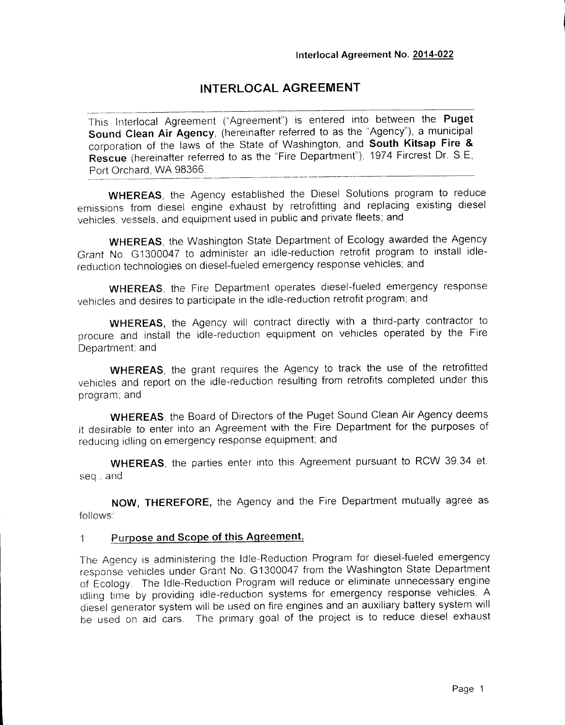# **INTERLOCAL AGREEMENT**

This Interlocal Agreement ("Agreement") is entered into between the **Puget Sound Clean Air Agency,** (hereinafter referred to as the "Agency"), a municipal corporation of the laws of the State of Washington, and **South Kitsap Fire & Rescue** (hereinafter referred to as the "Fire Department"), 1974 Fircrest Dr. S.E, Port Orchard, WA 98366.

**WHEREAS,** the Agency established the Diesel Solutions program to reduce emissions from diesel engine exhaust by retrofitting and replacing existing diesel vehicles, vessels, and equipment used in public and private fleets; and

**WHEREAS,** the Washington State Department of Ecology awarded the Agency Grant No. G1300047 to administer an idle-reduction retrofit program to install idlereduction technologies on diesel-fueled emergency response vehicles; and

**WHEREAS,** the Fire Department operates diesel-fueled emergency response vehicles and desires to participate in the idle-reduction retrofit program; and

**WHEREAS,** the Agency will contract directly with a third-party contractor to procure and install the idle-reduction equipment on vehicles operated by the Fire Department; and

**WHEREAS,** the grant requires the Agency to track the use of the retrofitted vehicles and report on the idle-reduction resulting from retrofits completed under this program; and

**WHEREAS,** the Board of Directors of the Puget Sound Clean Air Agency deems it desirable to enter into an Agreement with the Fire Department for the purposes of reducing idling on emergency response equipment; and

**WHEREAS,** the parties enter into this Agreement pursuant to RCW 39.34 et. seq., and

**NOW, THEREFORE,** the Agency and the Fire Department mutually agree as follows:

### **1 Purpose and Scope of this Agreement.**

The Agency is administering the Idle-Reduction Program for diesel-fueled emergency response vehicles under Grant No. G1300047 from the Washington State Department of Ecology. The Idle-Reduction Program will reduce or eliminate unnecessary engine idling time by providing idle-reduction systems for emergency response vehicles. A diesel generator system will be used on fire engines and an auxiliary battery system will be used on aid cars. The primary goal of the project is to reduce diesel exhaust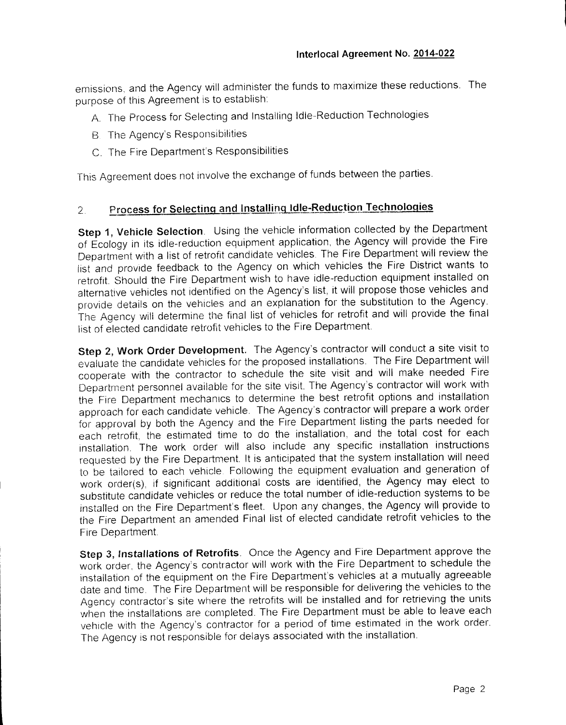emissions, and the Agency will administer the funds to maximize these reductions. The purpose of this Agreement is to establish:

- A. The Process for Selecting and Installing idle-Reduction Technologies
- B. The Agency's Responsibilities
- C. The Fire Department's Responsibilities

This Agreement does not involve the exchange of funds between the parties.

# **2 Process for Selecting and Installing Idle-Reduction Technologies**

**Step 1, Vehicle Selection.** Using the vehicle information collected by the Department of Ecology in its idle-reduction equipment application, the Agency will provide the Fire Department with a list of retrofit candidate vehicles The Fire Department will review the list and provide feedback to the Agency on which vehicles the Fire District wants to retrofit. Should the Fire Department wish to have idle-reduction equipment installed on alternative vehicles not identified on the Agency's list, it will propose those vehicles and provide details on the vehicles and an explanation for the substitution to the Agency. The Agency will determine the final list of vehicles for retrofit and will provide the final list of elected candidate retrofit vehicles to the Fire Department.

**Step 2, Work Order Development.** The Agency's contractor will conduct a site visit to evaluate the candidate vehicles for the proposed installations. The Fire Department will cooperate with the contractor to schedule the site visit and will make needed Fire Department personnel available for the site visit. The Agency's contractor will work with the Fire Department mechanics to determine the best retrofit options and installation approach for each candidate vehicle. The Agency's contractor will prepare a work order for approval by both the Agency and the Fire Department listing the parts needed for each retrofit, the estimated time to do the installation, and the total cost for each installation. The work order will also include any specific installation instructions requested by the Fire Department. It is anticipated that the system installation will need to be tailored to each vehicle. Following the equipment evaluation and generation of work order(s), if significant additional costs are identified, the Agency may elect to substitute candidate vehicles or reduce the total number of idle-reduction systems to be installed on the Fire Department's fleet. Upon any changes, the Agency will provide to the Fire Department an amended Final list of elected candidate retrofit vehicles to the Fire Department.

**Step 3, Installations of Retrofits.** Once the Agency and Fire Department approve the work order, the Agency's contractor will work with the Fire Department to schedule the installation of the equipment on the Fire Department's vehicles at a mutually agreeable date and time. The Fire Department will be responsible for delivering the vehicles to the Agency contractor's site where the retrofits will be installed and for retrieving the units when the installations are completed. The Fire Department must be able to leave each vehicle with the Agency's contractor for a period of time estimated in the work order. The Agency is not responsible for delays associated with the installation.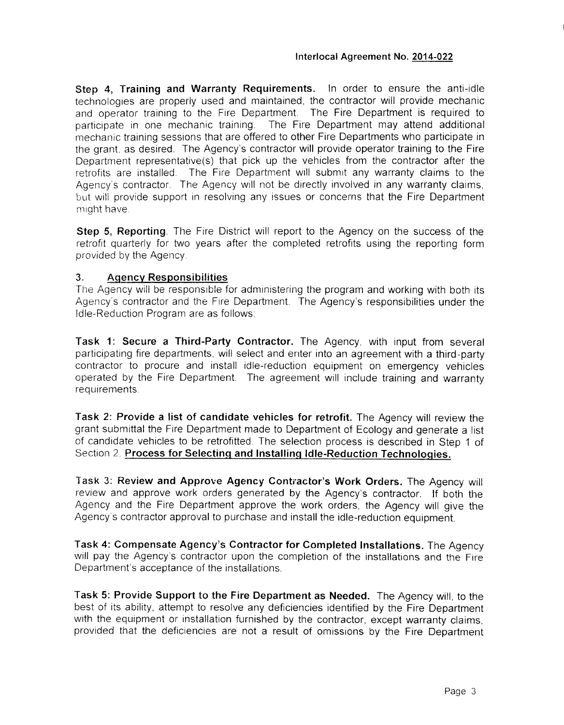**Step 4, Training and Warranty Requirements.** In order to ensure the anti-idle technologies are properly used and maintained, the contractor will provide mechanic and operator training to the Fire Department. The Fire Department is required to participate in one mechanic training. The Fire Department may attend additional mechanic training sessions that are offered to other Fire Departments who participate in the grant, as desired. The Agency's contractor Will provide operator training to the Fire Department representative(s) that pick up the vehicles from the contractor after the retrofits are installed. The Fire Department will submit any warranty claims to the Agency's contractor. The Agency will not be directly involved in any warranty claims, but will provide support in resolving any issues or concerns that the Fire Department might have.

**Step 5, Reporting.** The Fire District will report to the Agency on the success of the retrofit quarterly for two years after the completed retrofits using the reporting form provided by the Agency.

### **3. Agency Responsibilities**

The Agency will be responsible for administering the program and working with both its Agency's contractor and the Fire Department. The Agency's responsibilities under the Idle-Reduction Program are as follows:

**Task 1: Secure a Third-Party Contractor.** The Agency, with input from several participating fire departments, will select and enter into an agreement with a third-party contractor to procure and install idle-reduction equipment on emergency vehicles operated by the Fire Department. The agreement will include training and warranty requirements.

**Task 2: Provide a list of candidate vehicles for retrofit.** The Agency will review the grant submittal the Fire Department made to Department of Ecology and generate a list of candidate vehicles to be retrofitted The selection process is described in Step 1 of Section 2, **Process for Selecting and Installing idle-Reduction Technologies.**

**Task 3: Review and Approve Agency Contractor's Work Orders.** The Agency will review and approve work orders generated by the Agency's contractor. If both the Agency and the Fire Department approve the work orders, the Agency will give the Agency's contractor approval to purchase and install the idle-reduction equipment.

**Task 4: Compensate Agency's Contractor for Completed Installations.** The Agency will pay the Agency's contractor upon the completion of the installations and the Fire Department's acceptance of the installations.

**Task 5: Provide Support to the Fire Department as Needed.** The Agency will, to the best of its ability, attempt to resolve any deficiencies identified by the Fire Department with the equipment or installation furnished by the contractor, except warranty claims, provided that the deficiencies are not a result of omissions by the Fire Department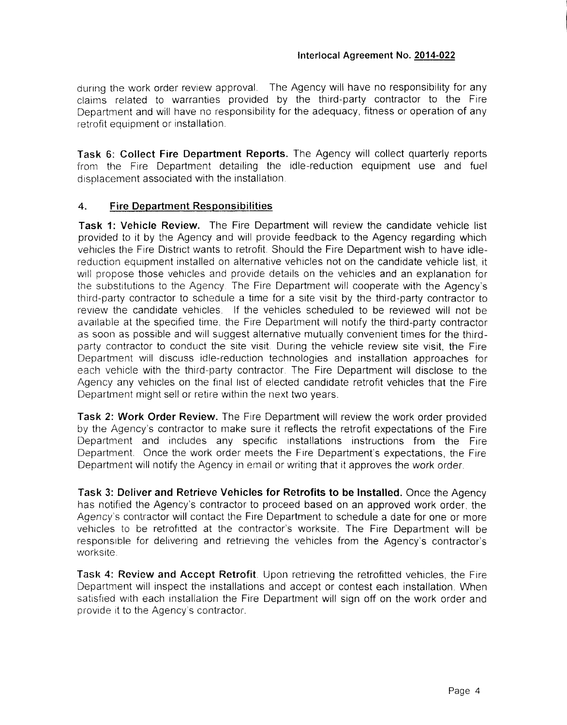during the work order review approval. The Agency will have no responsibility for any claims related to warranties provided by the third-party contractor to the Fire Department and will have no responsibility for the adequacy, fitness or operation of any retrofit equipment or installation.

**Task 6: Collect Fire Department Reports.** The Agency will collect quarterly reports from the Fire Department detailing the idle-reduction equipment use and fuel displacement associated with the installation.

### **4. Fire Department Responsibilities**

**Task 1: Vehicle Review.** The Fire Department will review the candidate vehicle list provided to it by the Agency and will provide feedback to the Agency regarding which vehicles the Fire District wants to retrofit. Should the Fire Department wish to have idlereduction equipment installed on alternative vehicles not on the candidate vehicle list, it will propose those vehicles and provide details on the vehicles and an explanation for the substitutions to the Agency. The Fire Department will cooperate with the Agency's third-party contractor to schedule a time for a site visit by the third-party contractor to review the candidate vehicles. If the vehicles scheduled to be reviewed will not be available at the specified time, the Fire Department will notify the third-party contractor as soon as possible and will suggest alternative mutually convenient times for the thirdparty contractor to conduct the site visit. During the vehicle review site visit, the Fire Department will discuss idle-reduction technologies and installation approaches for each vehicle with the third-party contractor. The Fire Department will disclose to the Agency any vehicles on the final list of elected candidate retrofit vehicles that the Fire Department might sell or retire within the next two years.

**Task 2: Work Order Review.** The Fire Department will review the work order provided by the Agency's contractor to make sure it reflects the retrofit expectations of the Fire Department and includes any specific installations instructions from the Fire Department. Once the work order meets the Fire Department's expectations, the Fire Department will notify the Agency in email or writing that it approves the work order.

**Task 3: Deliver and Retrieve Vehicles for Retrofits to be Installed.** Once the Agency has notified the Agency's contractor to proceed based on an approved work order, the Agency's contractor will contact the Fire Department to schedule a date for one or more vehicles to be retrofitted at the contractor's worksite. The Fire Department will be responsible for delivering and retrieving the vehicles from the Agency's contractor's worksite.

**Task 4: Review and Accept Retrofit.** Upon retrieving the retrofitted vehicles, the Fire Department will inspect the installations and accept or contest each installation. When satisfied with each installation the Fire Department will sign off on the work order and provide it to the Agency's contractor.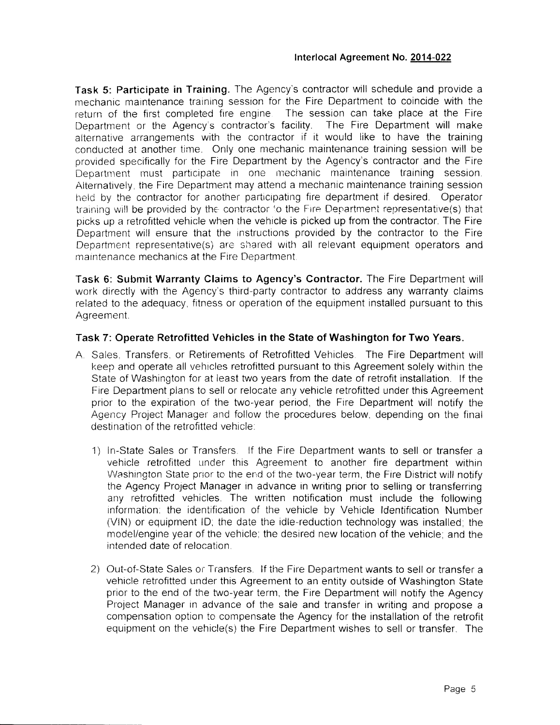**Task 5: Participate in Training.** The Agency's contractor will schedule and provide a mechanic maintenance training session for the Fire Department to coincide with the return of the first completed fire engine The session can take place at the Fire Department or the Agency's contractor's facility. The Fire Department will make alternative arrangements with the contractor if it would like to have the training conducted at another time. Only one mechanic maintenance training session will be provided specifically for the Fire Department by the Agency's contractor and the Fire Department must participate in one mechanic maintenance training session. Alternatively, the Fire Department may attend a mechanic maintenance training session held by the contractor for another participating fire department if desired. Operator training will be provided by the contractor 'o the Fire Department representative(s) that picks up a retrofitted vehicle when the vehicle is picked up from the contractor. The Fire Department will ensure that the instructions provided by the contractor to the Fire Department representative(s) are shared with all relevant equipment operators and maintenance mechanics at the Fire Department.

**Task 6: Submit Warranty Claims to Agency's Contractor.** The Fire Department will work directly with the Agency's third-party contractor to address any warranty claims related to the adequacy, fitness or operation of the equipment installed pursuant to this Agreement.

### **Task 7: Operate Retrofitted Vehicles in the State of Washington for Two Years.**

- A Sales. Transfers, or Retirements of Retrofitted Vehicles The Fire Department will keep and operate ail vehicles retrofitted pursuant to this Agreement solely within the State of Washington for at least two years from the date of retrofit installation. If the Fire Department plans to sell or relocate any vehicle retrofitted under this Agreement prior to the expiration of the two-year period, the Fire Department will notify the Agency Project Manager and follow the procedures below, depending on the final destination of the retrofitted vehicle:
	- 1) in-State Sales or Transfers. If the Fire Department wants to sell or transfer a vehicle retrofitted under this Agreement to another fire department within Washington State prior to the end of the two-year term, the Fire District will notify the Agency Project Manager in advance in writing prior to selling or transferring any retrofitted vehicles. The written notification must include the following information: the identification of the vehicle by Vehicle Identification Number (ViN) or equipment ID; the date the idle-reduction technology was installed, the model/engine year of the vehicle; the desired new location of the vehicle; and the intended date of relocation.
	- 2) Out-of-State Sales or Transfers. If the Fire Department wants to sell or transfer a vehicle retrofitted under this Agreement to an entity outside of Washington State prior to the end of the two-year term, the Fire Department will notify the Agency Project Manager in advance of the sale and transfer in writing and propose a compensation option to compensate the Agency for the installation of the retrofit equipment on the vehicle(s) the Fire Department wishes to sell or transfer. The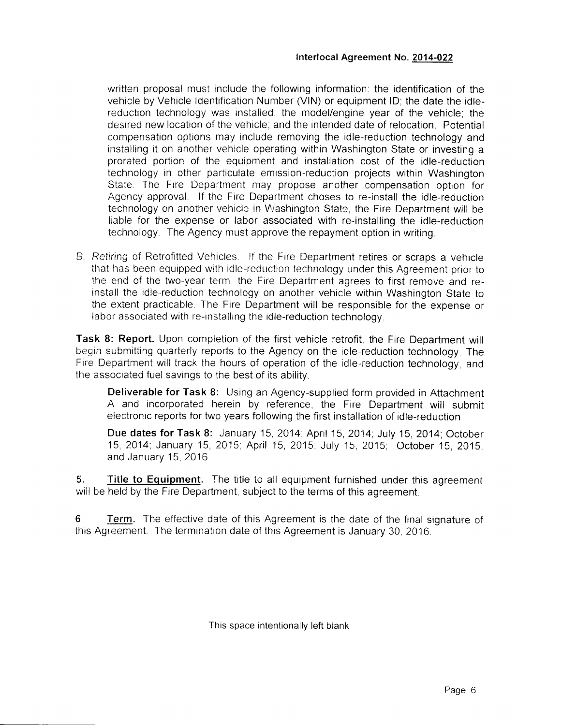written proposal must include the following information: the identification of the vehicle by Vehicle Identification Number (VIN) or equipment ID; the date the idlereduction technology was installed; the model/engine year of the vehicle; the desired new location of the vehicle; and the intended date of relocation. Potential compensation options may include removing the idle-reduction technology and installing it on another vehicle operating within Washington State or investing a prorated portion of the equipment and installation cost of the idle-reduction technology in other particulate emission-reduction projects within Washington State. The Fire Department may propose another compensation option for Agency approval. If the Fire Department choses to re-install the idle-reduction technology on another vehicle in Washington State, the Fire Department will be liable for the expense or labor associated with re-installing the idle-reduction technology. The Agency must approve the repayment option in writing.

B. Retiring of Retrofitted Vehicles, if the Fire Department retires or scraps a vehicle that has been equipped with idle-reduction technology under this Agreement prior to the end of the two-year term, the Fire Department agrees to first remove and reinstall the idle-reduction technology on another vehicle within Washington State to the extent practicable. The Fire Department will be responsible for the expense or labor associated with re-installing the idle-reduction technology.

**Task 8: Report.** Upon completion of the first vehicle retrofit, the Fire Department will begin submitting quarterly reports to the Agency on the idle-reduction technology. The Fire Department will track the hours of operation of the idle-reduction technology, and the associated fuel savings to the best of its ability.

**Deliverable for Task 8:** Using an Agency-supplied form provided in Attachment A and incorporated herein by reference, the Fire Department will submit electronic reports for two years following the first installation of idle-reduction

**Due dates for Task 8:** January 15, 2014; April 15, 2014; July 15, 2014; October 15, 2014; January 15, 2015; April 15, 2015; July 15, 2015; October 15, 2015, and January 15, 2016

**5. Title to Equipment.** The title to ail equipment furnished under this agreement will be held by the Fire Department, subject to the terms of this agreement.

**6 Term.** The effective date of this Agreement is the date of the final signature of this Agreement. The termination date of this Agreement is January 30, 2016.

This space intentionally left blank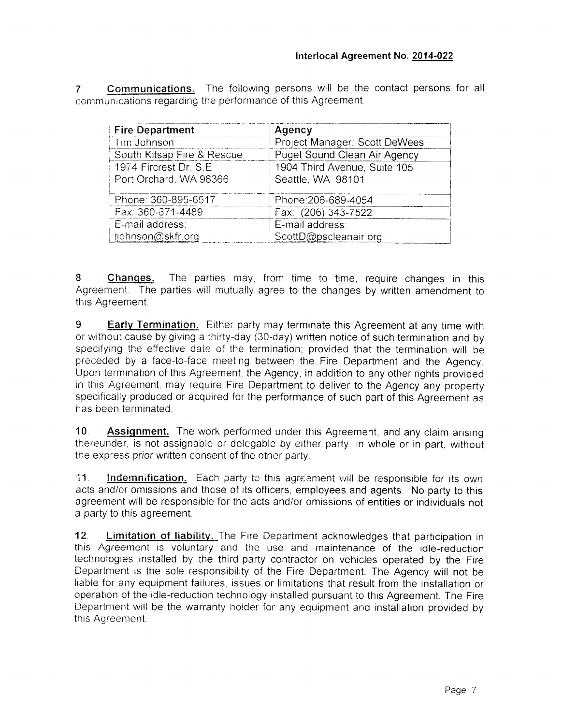**7 Communications.** The following persons will be the contact persons for all communications regarding the performance of this Agreement.

| <b>Fire Department</b>     | Agency                        |
|----------------------------|-------------------------------|
| Tim Johnson                | Project Manager: Scott DeWees |
| South Kitsap Fire & Rescue | Puget Sound Clean Air Agency  |
| 1974 Fircrest Dr. S.E.     | 1904 Third Avenue, Suite 105  |
| Port Orchard, WA 98366     | Seattle, WA 98101             |
| Phone: 360-895-6517 !!!    | Phone: 206-689-4054           |
| Fax: 360-871-4489          | Fax: (206) 343-7522           |
| E-mail address:            | E-mail address:               |
| tjohnson@skfr.org          | ScottD@pscleanair.org         |

**8 Changes.** The parties may, from time to time, require changes in this Agreement. The parties will mutually agree to the changes by written amendment to this Agreement.

**9 Early Termination.** Either party may terminate this Agreement at any time with or without cause by giving a thirty-day (30-day) written notice of such termination and by specifying the effective date of the termination; provided that the termination will be preceded by a face-to-face meeting between the Fire Department and the Agency. Upon termination of this Agreement, the Agency, in addition to any other rights provided in this Agreement, may require Fire Department to deliver to the Agency any property specifically produced or acquired for the performance of such part of this Agreement as has been terminated.

**10 Assignment.** The work performed under this Agreement, and any claim arising thereunder, is not assignable or delegable by either party, in whole or in part, without the express prior written consent of the other party.

**11. indemnification.** Each party to this agreement will be responsible for its own acts and/or omissions and those of its officers, employees and agents. No party to this agreement will be responsible for the acts and/or omissions of entities or individuals not a party to this agreement.

**12. Limitation of liability.** The Fire Department acknowledges that participation in this Agreement is voluntary and the use and maintenance of the idle-reduction technologies installed by the third-party contractor on vehicles operated by the Fire Department is the sole responsibility of the Fire Department. The Agency will not be liable for any equipment failures, issues or limitations that result from the installation or operation of the idle-reduction technology installed pursuant to this Agreement. The Fire Department will be the warranty holder for any equipment and installation provided by this Agreement.